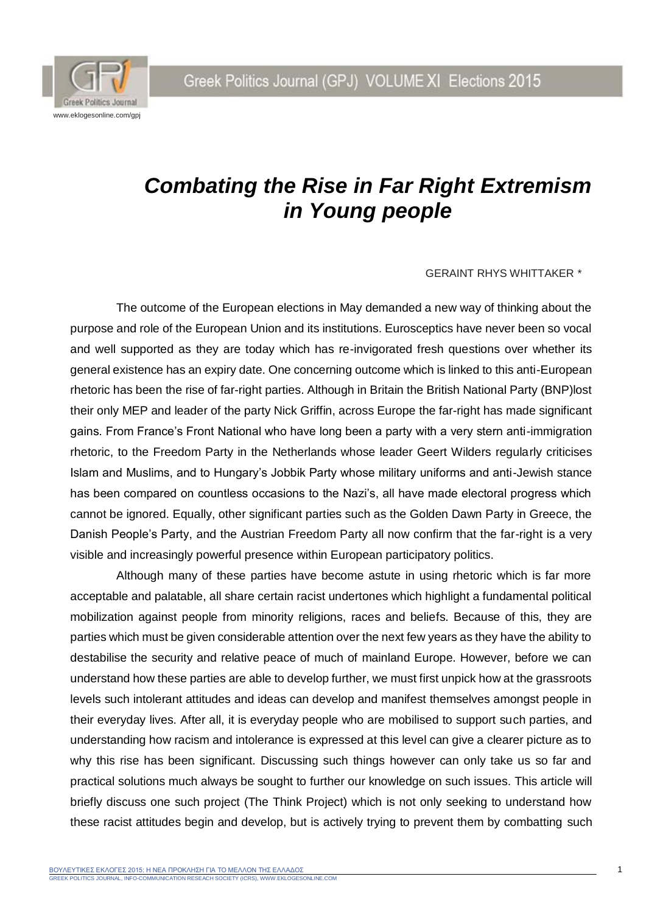Greek Politics Journal (GPJ) VOLUME XI Elections 2015



## *Combating the Rise in Far Right Extremism in Young people*

## GERAINT RHYS WHITTAKER *\**

The outcome of the European elections in May demanded a new way of thinking about the purpose and role of the European Union and its institutions. Eurosceptics have never been so vocal and well supported as they are today which has re-invigorated fresh questions over whether its general existence has an expiry date. One concerning outcome which is linked to this anti-European rhetoric has been the rise of far-right parties. Although in Britain the British National Party (BNP)lost their only MEP and leader of the party Nick Griffin, across Europe the far-right has made significant gains. From France's Front National who have long been a party with a very stern anti-immigration rhetoric, to the Freedom Party in the Netherlands whose leader Geert Wilders regularly criticises Islam and Muslims, and to Hungary's Jobbik Party whose military uniforms and anti-Jewish stance has been compared on countless occasions to the Nazi's, all have made electoral progress which cannot be ignored. Equally, other significant parties such as the Golden Dawn Party in Greece, the Danish People's Party, and the Austrian Freedom Party all now confirm that the far-right is a very visible and increasingly powerful presence within European participatory politics.

Although many of these parties have become astute in using rhetoric which is far more acceptable and palatable, all share certain racist undertones which highlight a fundamental political mobilization against people from minority religions, races and beliefs. Because of this, they are parties which must be given considerable attention over the next few years as they have the ability to destabilise the security and relative peace of much of mainland Europe. However, before we can understand how these parties are able to develop further, we must first unpick how at the grassroots levels such intolerant attitudes and ideas can develop and manifest themselves amongst people in their everyday lives. After all, it is everyday people who are mobilised to support such parties, and understanding how racism and intolerance is expressed at this level can give a clearer picture as to why this rise has been significant. Discussing such things however can only take us so far and practical solutions much always be sought to further our knowledge on such issues. This article will briefly discuss one such project (The Think Project) which is not only seeking to understand how these racist attitudes begin and develop, but is actively trying to prevent them by combatting such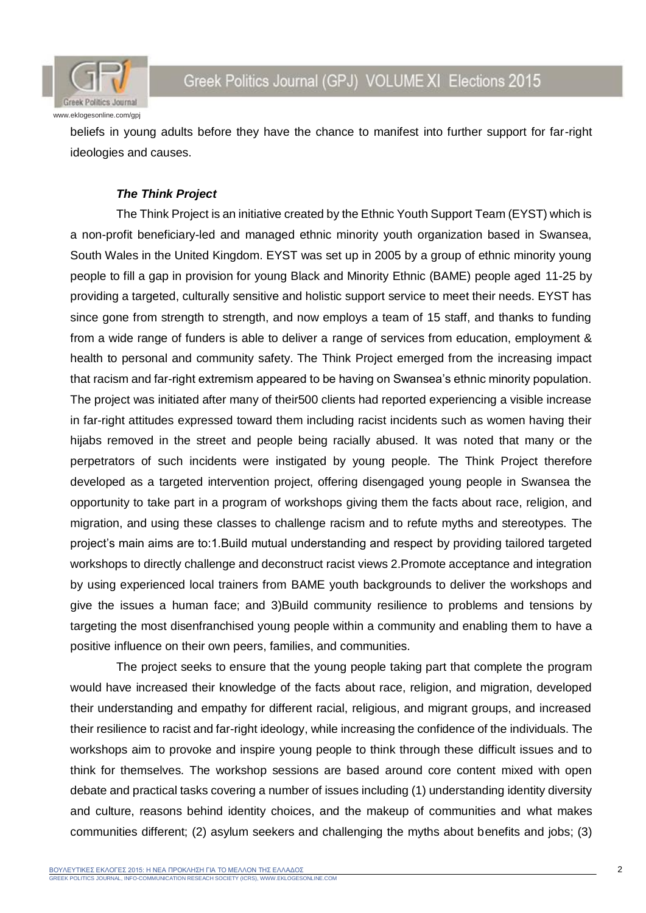

beliefs in young adults before they have the chance to manifest into further support for far-right ideologies and causes.

## *The Think Project*

The Think Project is an initiative created by the Ethnic Youth Support Team (EYST) which is a non-profit beneficiary-led and managed ethnic minority youth organization based in Swansea, South Wales in the United Kingdom. EYST was set up in 2005 by a group of ethnic minority young people to fill a gap in provision for young Black and Minority Ethnic (BAME) people aged 11-25 by providing a targeted, culturally sensitive and holistic support service to meet their needs. EYST has since gone from strength to strength, and now employs a team of 15 staff, and thanks to funding from a wide range of funders is able to deliver a range of services from education, employment & health to personal and community safety. The Think Project emerged from the increasing impact that racism and far-right extremism appeared to be having on Swansea's ethnic minority population. The project was initiated after many of their500 clients had reported experiencing a visible increase in far-right attitudes expressed toward them including racist incidents such as women having their hijabs removed in the street and people being racially abused. It was noted that many or the perpetrators of such incidents were instigated by young people. The Think Project therefore developed as a targeted intervention project, offering disengaged young people in Swansea the opportunity to take part in a program of workshops giving them the facts about race, religion, and migration, and using these classes to challenge racism and to refute myths and stereotypes. The project's main aims are to:1.Build mutual understanding and respect by providing tailored targeted workshops to directly challenge and deconstruct racist views 2.Promote acceptance and integration by using experienced local trainers from BAME youth backgrounds to deliver the workshops and give the issues a human face; and 3)Build community resilience to problems and tensions by targeting the most disenfranchised young people within a community and enabling them to have a positive influence on their own peers, families, and communities.

The project seeks to ensure that the young people taking part that complete the program would have increased their knowledge of the facts about race, religion, and migration, developed their understanding and empathy for different racial, religious, and migrant groups, and increased their resilience to racist and far-right ideology, while increasing the confidence of the individuals. The workshops aim to provoke and inspire young people to think through these difficult issues and to think for themselves. The workshop sessions are based around core content mixed with open debate and practical tasks covering a number of issues including (1) understanding identity diversity and culture, reasons behind identity choices, and the makeup of communities and what makes communities different; (2) asylum seekers and challenging the myths about benefits and jobs; (3)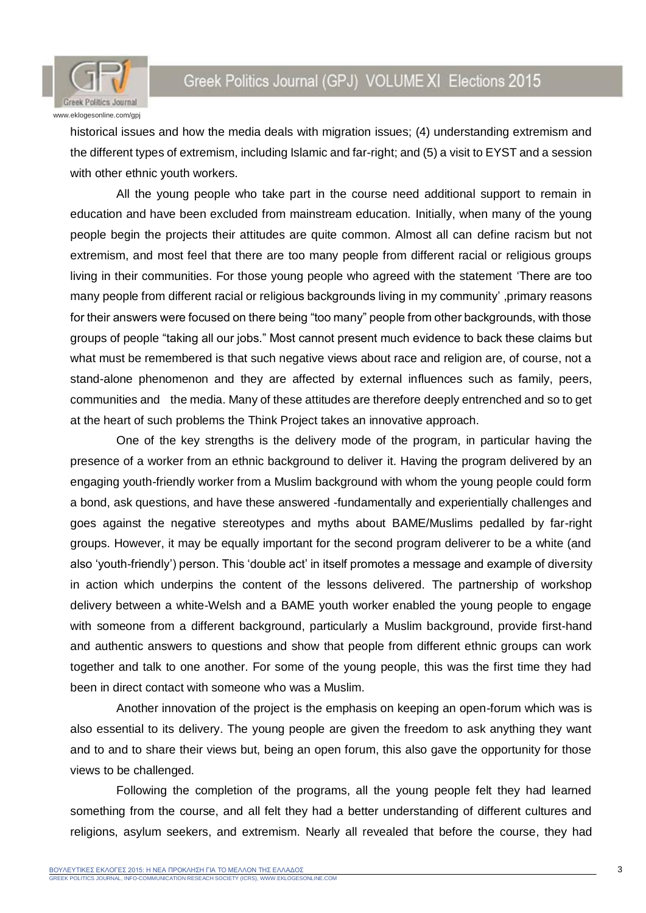



historical issues and how the media deals with migration issues; (4) understanding extremism and the different types of extremism, including Islamic and far-right; and (5) a visit to EYST and a session with other ethnic youth workers.

All the young people who take part in the course need additional support to remain in education and have been excluded from mainstream education. Initially, when many of the young people begin the projects their attitudes are quite common. Almost all can define racism but not extremism, and most feel that there are too many people from different racial or religious groups living in their communities. For those young people who agreed with the statement 'There are too many people from different racial or religious backgrounds living in my community' ,primary reasons for their answers were focused on there being "too many" people from other backgrounds, with those groups of people "taking all our jobs." Most cannot present much evidence to back these claims but what must be remembered is that such negative views about race and religion are, of course, not a stand-alone phenomenon and they are affected by external influences such as family, peers, communities and the media. Many of these attitudes are therefore deeply entrenched and so to get at the heart of such problems the Think Project takes an innovative approach.

One of the key strengths is the delivery mode of the program, in particular having the presence of a worker from an ethnic background to deliver it. Having the program delivered by an engaging youth-friendly worker from a Muslim background with whom the young people could form a bond, ask questions, and have these answered -fundamentally and experientially challenges and goes against the negative stereotypes and myths about BAME/Muslims pedalled by far-right groups. However, it may be equally important for the second program deliverer to be a white (and also 'youth-friendly') person. This 'double act' in itself promotes a message and example of diversity in action which underpins the content of the lessons delivered. The partnership of workshop delivery between a white-Welsh and a BAME youth worker enabled the young people to engage with someone from a different background, particularly a Muslim background, provide first-hand and authentic answers to questions and show that people from different ethnic groups can work together and talk to one another. For some of the young people, this was the first time they had been in direct contact with someone who was a Muslim.

Another innovation of the project is the emphasis on keeping an open-forum which was is also essential to its delivery. The young people are given the freedom to ask anything they want and to and to share their views but, being an open forum, this also gave the opportunity for those views to be challenged.

Following the completion of the programs, all the young people felt they had learned something from the course, and all felt they had a better understanding of different cultures and religions, asylum seekers, and extremism. Nearly all revealed that before the course, they had